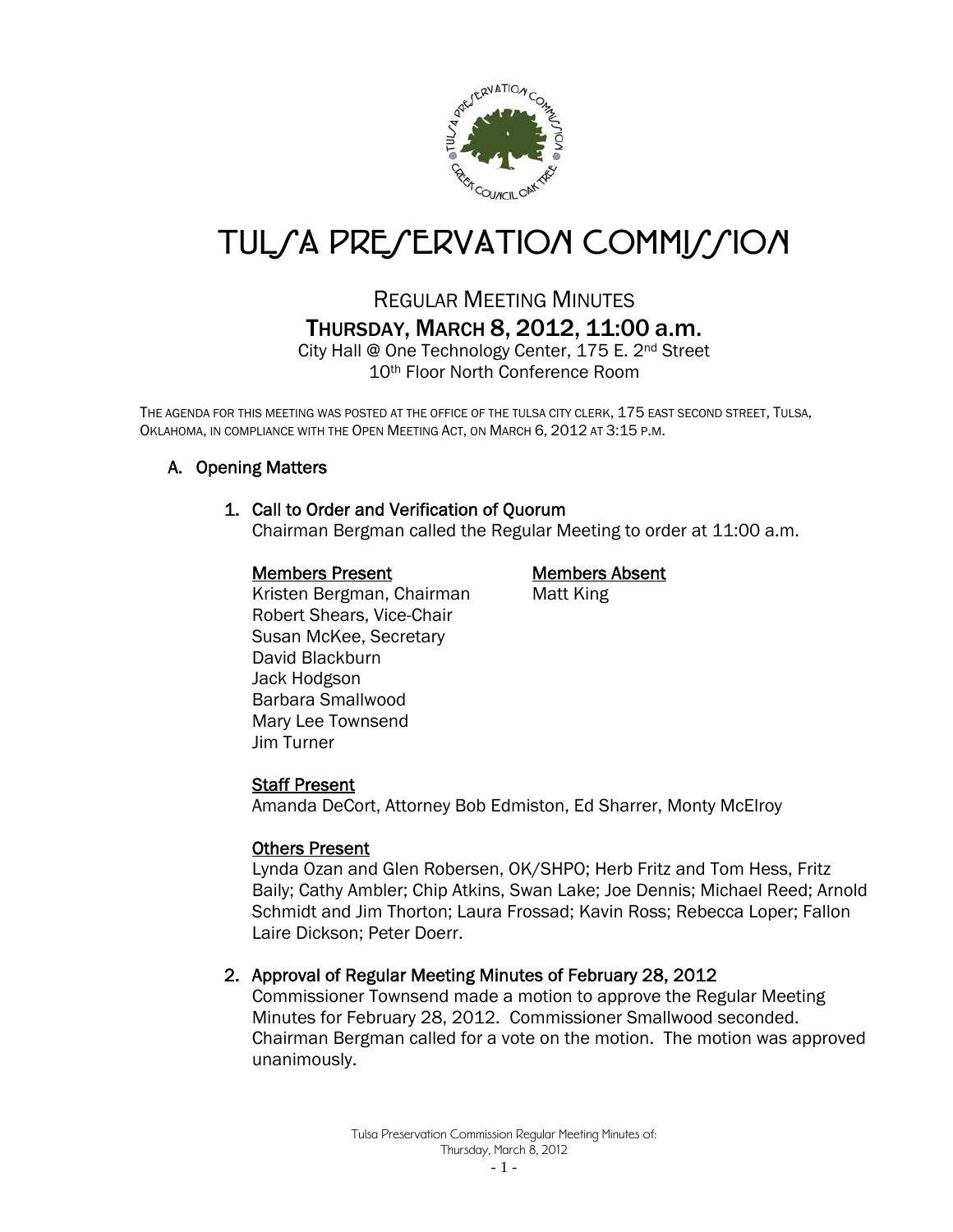

# TUL*SA PRESERVATION COMMISSION*

## REGULAR MEETING MINUTES THURSDAY, MARCH 8, 2012, 11:00 a.m.

City Hall @ One Technology Center, 175 E. 2<sup>nd</sup> Street 10th Floor North Conference Room

THE AGENDA FOR THIS MEETING WAS POSTED AT THE OFFICE OF THE TULSA CITY CLERK, 175 EAST SECOND STREET, TULSA, OKLAHOMA, IN COMPLIANCE WITH THE OPEN MEETING ACT, ON MARCH 6, 2012 AT 3:15 P.M.

#### A. Opening Matters

#### 1. Call to Order and Verification of Quorum

Chairman Bergman called the Regular Meeting to order at 11:00 a.m.

#### Members Present Members Absent

Kristen Bergman, Chairman Matt King Robert Shears, Vice-Chair Susan McKee, Secretary David Blackburn Jack Hodgson Barbara Smallwood Mary Lee Townsend Jim Turner

#### Staff Present

Amanda DeCort, Attorney Bob Edmiston, Ed Sharrer, Monty McElroy

#### Others Present

Lynda Ozan and Glen Robersen, OK/SHPO; Herb Fritz and Tom Hess, Fritz Baily; Cathy Ambler; Chip Atkins, Swan Lake; Joe Dennis; Michael Reed; Arnold Schmidt and Jim Thorton; Laura Frossad; Kavin Ross; Rebecca Loper; Fallon Laire Dickson; Peter Doerr.

#### 2. Approval of Regular Meeting Minutes of February 28, 2012

Commissioner Townsend made a motion to approve the Regular Meeting Minutes for February 28, 2012. Commissioner Smallwood seconded. Chairman Bergman called for a vote on the motion. The motion was approved unanimously.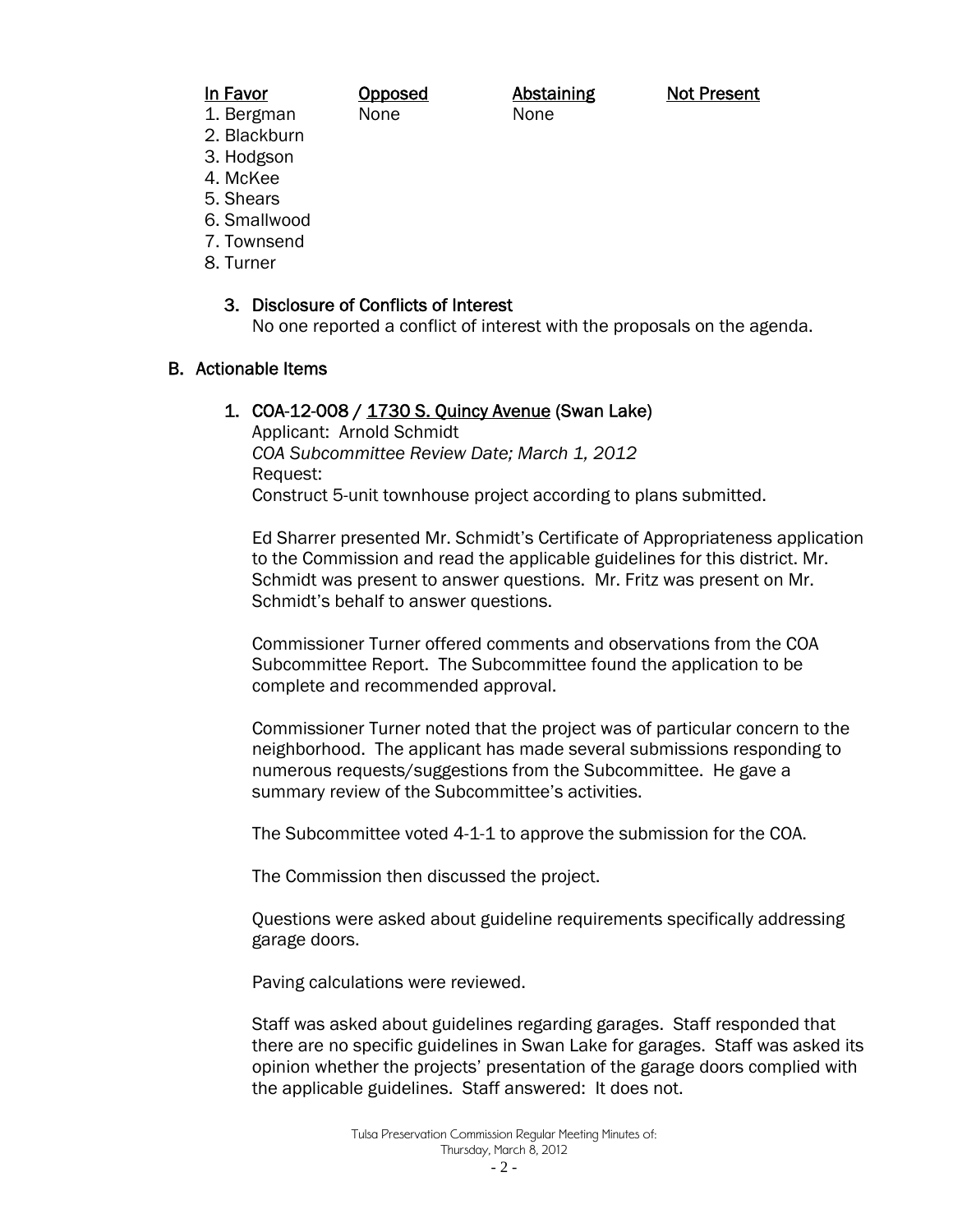## 1. Bergman None None

In Favor **Opposed** Abstaining Not Present

- 2. Blackburn
- 3. Hodgson
- 4. McKee
- 5. Shears
- 6. Smallwood
- 7. Townsend
- 8. Turner

#### 3. Disclosure of Conflicts of Interest

No one reported a conflict of interest with the proposals on the agenda.

#### B. Actionable Items

#### 1. COA-12-008 / 1730 S. Quincy Avenue (Swan Lake)

Applicant: Arnold Schmidt *COA Subcommittee Review Date; March 1, 2012*  Request: Construct 5-unit townhouse project according to plans submitted.

Ed Sharrer presented Mr. Schmidt's Certificate of Appropriateness application to the Commission and read the applicable guidelines for this district. Mr. Schmidt was present to answer questions. Mr. Fritz was present on Mr. Schmidt's behalf to answer questions.

Commissioner Turner offered comments and observations from the COA Subcommittee Report. The Subcommittee found the application to be complete and recommended approval.

Commissioner Turner noted that the project was of particular concern to the neighborhood. The applicant has made several submissions responding to numerous requests/suggestions from the Subcommittee. He gave a summary review of the Subcommittee's activities.

The Subcommittee voted 4-1-1 to approve the submission for the COA.

The Commission then discussed the project.

Questions were asked about guideline requirements specifically addressing garage doors.

Paving calculations were reviewed.

Staff was asked about guidelines regarding garages. Staff responded that there are no specific guidelines in Swan Lake for garages. Staff was asked its opinion whether the projects' presentation of the garage doors complied with the applicable guidelines. Staff answered: It does not.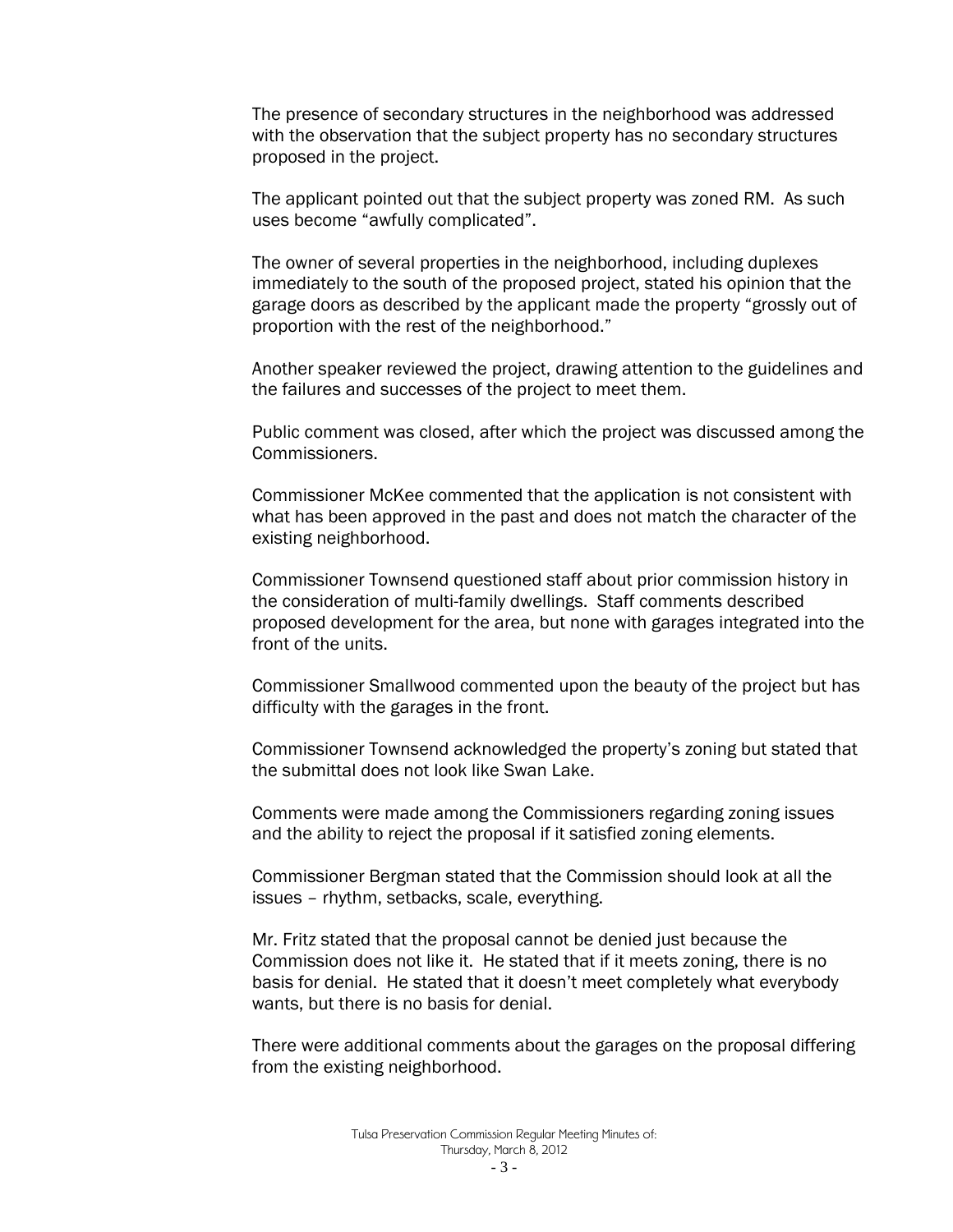The presence of secondary structures in the neighborhood was addressed with the observation that the subject property has no secondary structures proposed in the project.

The applicant pointed out that the subject property was zoned RM. As such uses become "awfully complicated".

The owner of several properties in the neighborhood, including duplexes immediately to the south of the proposed project, stated his opinion that the garage doors as described by the applicant made the property "grossly out of proportion with the rest of the neighborhood."

Another speaker reviewed the project, drawing attention to the guidelines and the failures and successes of the project to meet them.

Public comment was closed, after which the project was discussed among the Commissioners.

Commissioner McKee commented that the application is not consistent with what has been approved in the past and does not match the character of the existing neighborhood.

Commissioner Townsend questioned staff about prior commission history in the consideration of multi-family dwellings. Staff comments described proposed development for the area, but none with garages integrated into the front of the units.

Commissioner Smallwood commented upon the beauty of the project but has difficulty with the garages in the front.

Commissioner Townsend acknowledged the property's zoning but stated that the submittal does not look like Swan Lake.

Comments were made among the Commissioners regarding zoning issues and the ability to reject the proposal if it satisfied zoning elements.

Commissioner Bergman stated that the Commission should look at all the issues – rhythm, setbacks, scale, everything.

Mr. Fritz stated that the proposal cannot be denied just because the Commission does not like it. He stated that if it meets zoning, there is no basis for denial. He stated that it doesn't meet completely what everybody wants, but there is no basis for denial.

There were additional comments about the garages on the proposal differing from the existing neighborhood.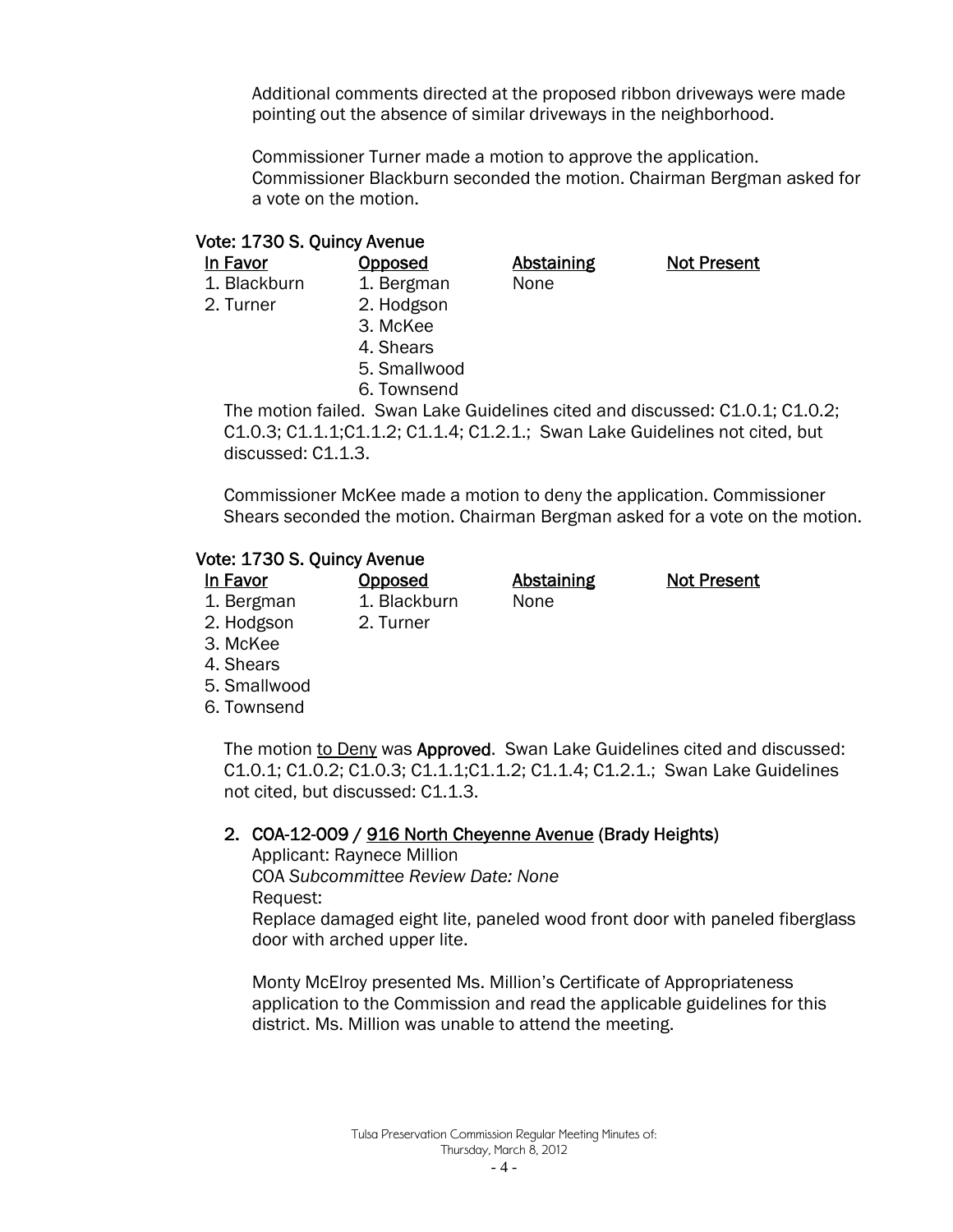Additional comments directed at the proposed ribbon driveways were made pointing out the absence of similar driveways in the neighborhood.

Commissioner Turner made a motion to approve the application. Commissioner Blackburn seconded the motion. Chairman Bergman asked for a vote on the motion.

#### Vote: 1730 S. Quincy Avenue

2. Turner 2. Hodgson

1. Blackburn 1. Bergman None

In Favor **Opposed** Abstaining Not Present

- 3. McKee 4. Shears 5. Smallwood
- 6. Townsend

The motion failed. Swan Lake Guidelines cited and discussed: C1.0.1; C1.0.2; C1.0.3; C1.1.1;C1.1.2; C1.1.4; C1.2.1.; Swan Lake Guidelines not cited, but discussed: C1.1.3.

Commissioner McKee made a motion to deny the application. Commissioner Shears seconded the motion. Chairman Bergman asked for a vote on the motion.

#### Vote: 1730 S. Quincy Avenue

| In Favor   | <b>Opposed</b> | <b>Abstaining</b> | <b>Not Present</b> |
|------------|----------------|-------------------|--------------------|
| 1. Bergman | 1. Blackburn   | None              |                    |
| 2. Hodgson | 2. Turner      |                   |                    |
|            |                |                   |                    |

- 3. McKee
- 4. Shears
- 5. Smallwood
- 6. Townsend

The motion to Deny was Approved. Swan Lake Guidelines cited and discussed: C1.0.1; C1.0.2; C1.0.3; C1.1.1;C1.1.2; C1.1.4; C1.2.1.; Swan Lake Guidelines not cited, but discussed: C1.1.3.

#### 2. COA-12-009 / 916 North Cheyenne Avenue (Brady Heights)

Applicant: Raynece Million COA *Subcommittee Review Date: None*  Request:

Replace damaged eight lite, paneled wood front door with paneled fiberglass door with arched upper lite.

Monty McElroy presented Ms. Million's Certificate of Appropriateness application to the Commission and read the applicable guidelines for this district. Ms. Million was unable to attend the meeting.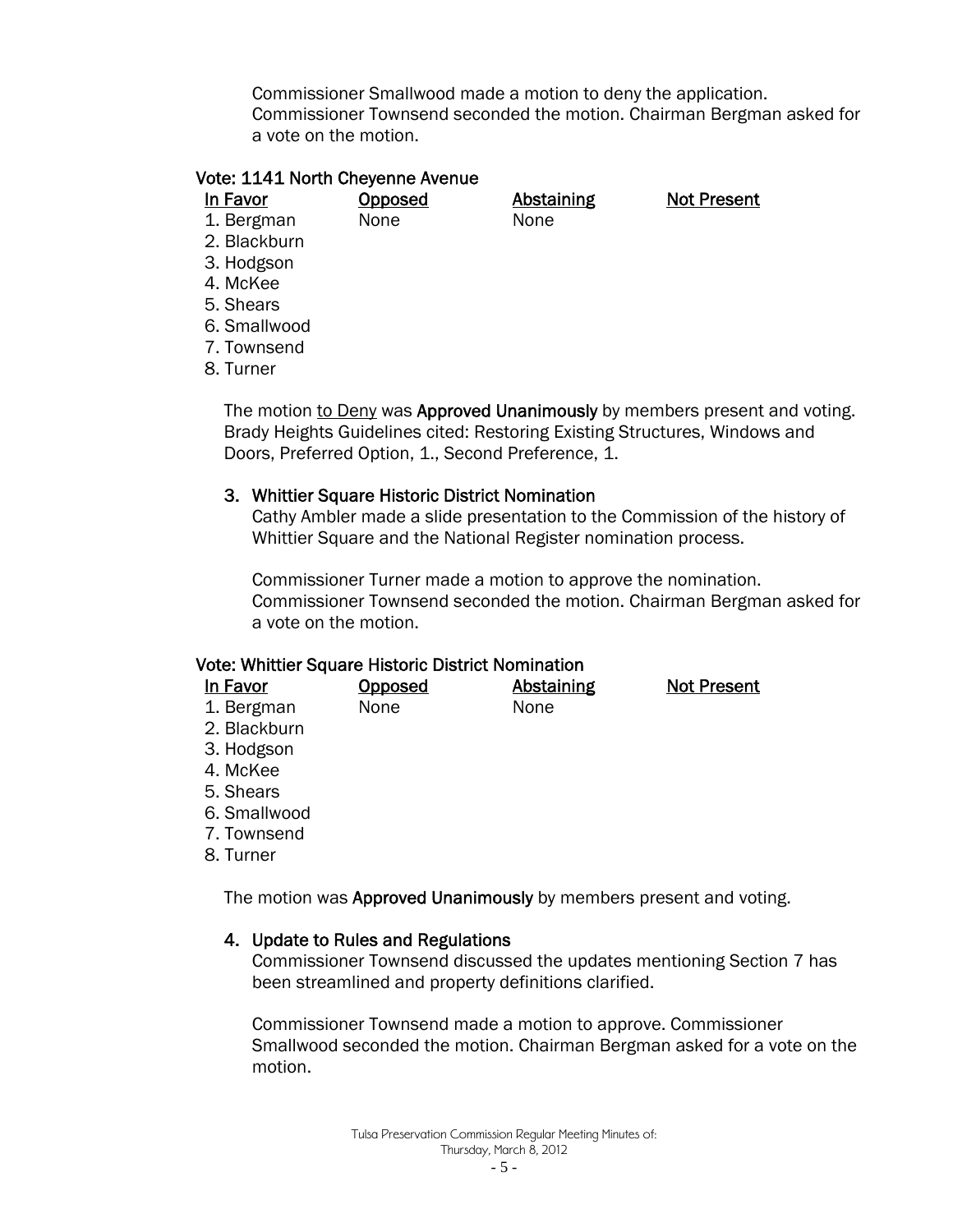Commissioner Smallwood made a motion to deny the application. Commissioner Townsend seconded the motion. Chairman Bergman asked for a vote on the motion.

#### Vote: 1141 North Cheyenne Avenue

In Favor **Opposed** Abstaining Not Present 1. Bergman None None

2. Blackburn

3. Hodgson

4. McKee

5. Shears

6. Smallwood

7. Townsend

8. Turner

The motion to Deny was Approved Unanimously by members present and voting. Brady Heights Guidelines cited: Restoring Existing Structures, Windows and Doors, Preferred Option, 1., Second Preference, 1.

#### 3. Whittier Square Historic District Nomination

Cathy Ambler made a slide presentation to the Commission of the history of Whittier Square and the National Register nomination process.

Commissioner Turner made a motion to approve the nomination. Commissioner Townsend seconded the motion. Chairman Bergman asked for a vote on the motion.

#### Vote: Whittier Square Historic District Nomination

| In Favor     | <b>Opposed</b> | <b>Abstaining</b> | <b>Not Present</b> |
|--------------|----------------|-------------------|--------------------|
| 1. Bergman   | None           | <b>None</b>       |                    |
| 2. Blackburn |                |                   |                    |
| 3. Hodgson   |                |                   |                    |
| 4. McKee     |                |                   |                    |

- 5. Shears
- 6. Smallwood
- 7. Townsend
- 8. Turner

The motion was Approved Unanimously by members present and voting.

#### 4. Update to Rules and Regulations

Commissioner Townsend discussed the updates mentioning Section 7 has been streamlined and property definitions clarified.

Commissioner Townsend made a motion to approve. Commissioner Smallwood seconded the motion. Chairman Bergman asked for a vote on the motion.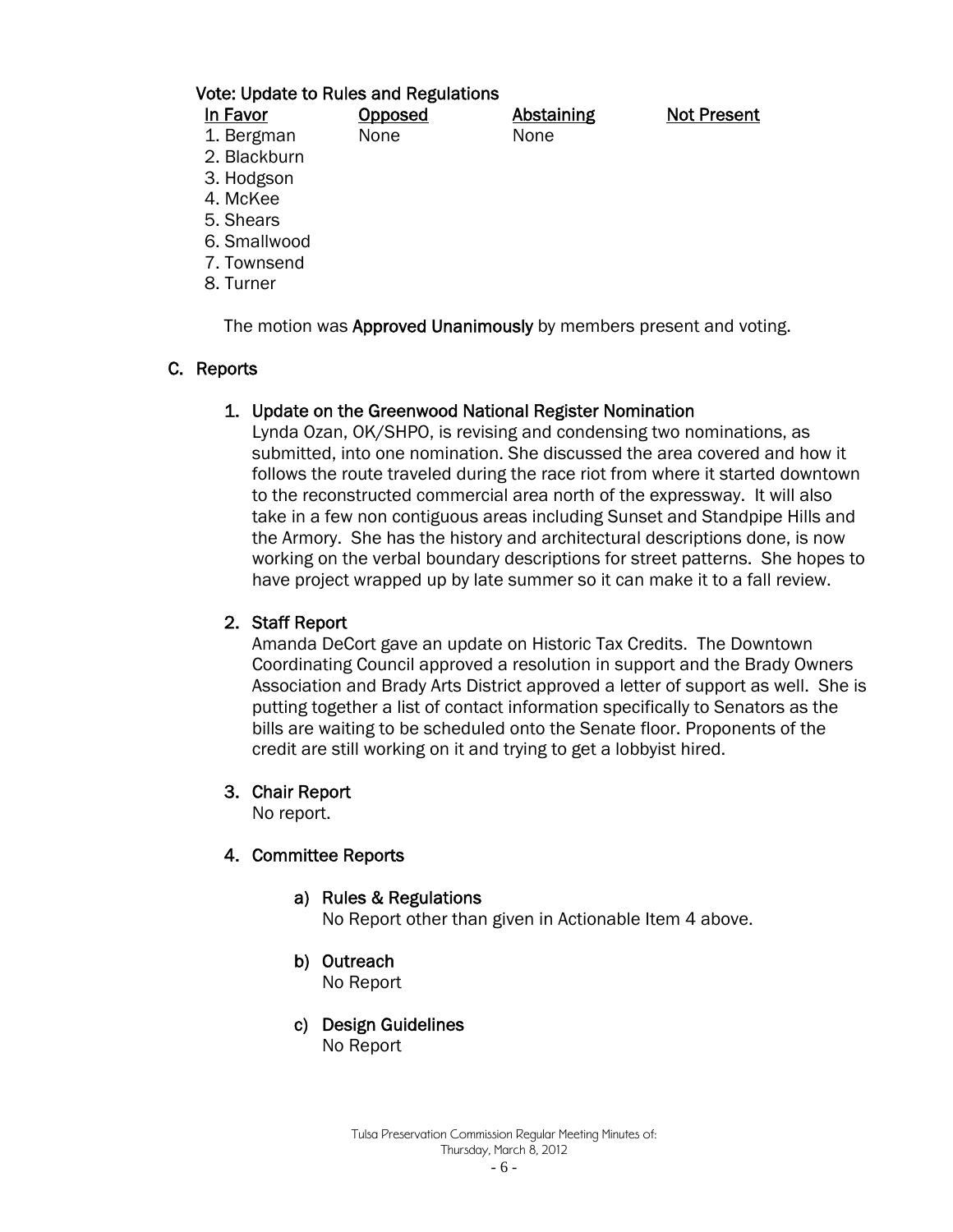#### Vote: Update to Rules and Regulations

| In Favor                      | <b>Opposed</b> | <b>Abstaining</b> | <b>Not Present</b> |
|-------------------------------|----------------|-------------------|--------------------|
| 1. Bergman                    | None           | None              |                    |
| 2. Blackburn                  |                |                   |                    |
| 3. Hodgson                    |                |                   |                    |
| 4. McKee                      |                |                   |                    |
| $\blacksquare$ $\blacksquare$ |                |                   |                    |

- 
- 5. Shears
- 6. Smallwood
- 7. Townsend
- 8. Turner

The motion was **Approved Unanimously** by members present and voting.

### C. Reports

#### 1. Update on the Greenwood National Register Nomination

Lynda Ozan, OK/SHPO, is revising and condensing two nominations, as submitted, into one nomination. She discussed the area covered and how it follows the route traveled during the race riot from where it started downtown to the reconstructed commercial area north of the expressway. It will also take in a few non contiguous areas including Sunset and Standpipe Hills and the Armory. She has the history and architectural descriptions done, is now working on the verbal boundary descriptions for street patterns. She hopes to have project wrapped up by late summer so it can make it to a fall review.

### 2. Staff Report

Amanda DeCort gave an update on Historic Tax Credits. The Downtown Coordinating Council approved a resolution in support and the Brady Owners Association and Brady Arts District approved a letter of support as well. She is putting together a list of contact information specifically to Senators as the bills are waiting to be scheduled onto the Senate floor. Proponents of the credit are still working on it and trying to get a lobbyist hired.

#### 3. Chair Report

No report.

#### 4. Committee Reports

- a) Rules & Regulations No Report other than given in Actionable Item 4 above.
- b) Outreach

No Report

c) Design Guidelines No Report